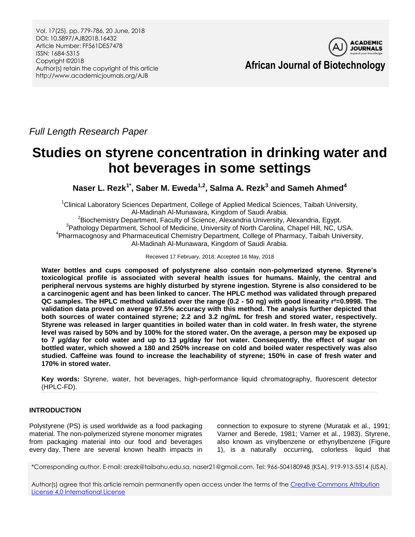Vol. 17(25), pp. 779-786, 20 June, 2018 DOI: 10.5897/AJB2018.16432 Article Number: FF561DE57478 ISSN: 1684-5315 Copyright ©2018 Author(s) retain the copyright of this article http://www.academicjournals.org/AJB



**African Journal of Biotechnology**

*Full Length Research Paper*

# **Studies on styrene concentration in drinking water and hot beverages in some settings**

**Naser L. Rezk1\*, Saber M. Eweda1,2, Salma A. Rezk<sup>3</sup> and Sameh Ahmed<sup>4</sup>**

<sup>1</sup>Clinical Laboratory Sciences Department, College of Applied Medical Sciences, Taibah University, Al-Madinah Al-Munawara, Kingdom of Saudi Arabia.

<sup>2</sup>Biochemistry Department, Faculty of Science, Alexandria University, Alexandria, Egypt. <sup>3</sup> Pathology Department, School of Medicine, University of North Carolina, Chapel Hill, NC, USA. 4 Pharmacognosy and Pharmaceutical Chemistry Department, College of Pharmacy, Taibah University, Al-Madinah Al-Munawara, Kingdom of Saudi Arabia.

Received 17 February, 2018; Accepted 16 May, 2018

**Water bottles and cups composed of polystyrene also contain non-polymerized styrene. Styrene's toxicological profile is associated with several health issues for humans. Mainly, the central and peripheral nervous systems are highly disturbed by styrene ingestion. Styrene is also considered to be a carcinogenic agent and has been linked to cancer. The HPLC method was validated through prepared QC samples. The HPLC method validated over the range (0.2 - 50 ng) with good linearity r²=0.9998. The validation data proved on average 97.5% accuracy with this method. The analysis further depicted that both sources of water contained styrene; 2.2 and 3.2 ng/mL for fresh and stored water, respectively. Styrene was released in larger quantities in boiled water than in cold water. In fresh water, the styrene level was raised by 50% and by 100% for the stored water. On the average, a person may be exposed up to 7 µg/day for cold water and up to 13 µg/day for hot water. Consequently, the effect of sugar on bottled water, which showed a 180 and 250% increase on cold and boiled water respectively was also studied. Caffeine was found to increase the leachability of styrene; 150% in case of fresh water and 170% in stored water.**

**Key words:** Styrene, water, hot beverages, high-performance liquid chromatography, fluorescent detector (HPLC-FD).

# **INTRODUCTION**

Polystyrene (PS) is used worldwide as a food packaging material. The non-polymerized styrene monomer migrates from packaging material into our food and beverages every day. There are several known health impacts in connection to exposure to styrene (Muratak et al., 1991; Varner and Berede, 1981; Varner et al., 1983). Styrene, also known as vinylbenzene or ethynylbenzene (Figure 1), is a naturally occurring, colorless liquid that

\*Corresponding author. E-mail: arezk@taibahu.edu.sa, naser21@gmail.com. Tel: 966-504180948 (KSA), 919-913-5514 (USA).

Author(s) agree that this article remain permanently open access under the terms of the Creative Commons Attribution [License 4.0 International License](http://creativecommons.org/licenses/by/4.0/deed.en_US)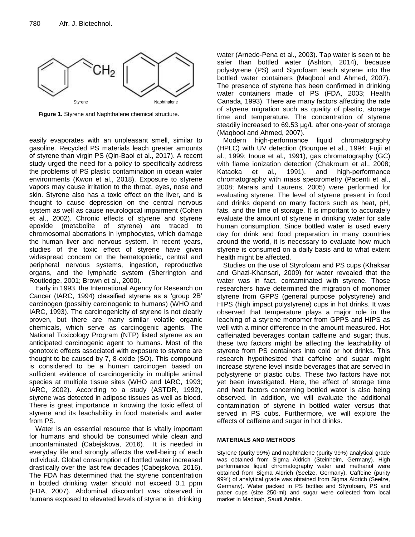

**Figure 1.** Styrene and Naphthalene chemical structure.

easily evaporates with an unpleasant smell, similar to gasoline. Recycled PS materials leach greater amounts of styrene than virgin PS (Qin-Baol et al., 2017). A recent study urged the need for a policy to specifically address the problems of PS plastic contamination in ocean water environments (Kwon et al., 2018). Exposure to styrene vapors may cause irritation to the throat, eyes, nose and skin. Styrene also has a toxic effect on the liver, and is thought to cause depression on the central nervous system as well as cause neurological impairment (Cohen et al., 2002). Chronic effects of styrene and styrene epoxide (metabolite of styrene) are traced to chromosomal aberrations in lymphocytes, which damage the human liver and nervous system. In recent years, studies of the toxic effect of styrene have given widespread concern on the hematopoietic, central and peripheral nervous systems, ingestion, reproductive organs, and the lymphatic system (Sherrington and Routledge, 2001; Brown et al., 2000).

Early in 1993, the International Agency for Research on Cancer (IARC, 1994) classified styrene as a 'group 2B' carcinogen (possibly carcinogenic to humans) (WHO and IARC, 1993). The carcinogenicity of styrene is not clearly proven, but there are many similar volatile organic chemicals, which serve as carcinogenic agents. The National Toxicology Program (NTP) listed styrene as an anticipated carcinogenic agent to humans. Most of the genotoxic effects associated with exposure to styrene are thought to be caused by 7, 8-oxide (SO). This compound is considered to be a human carcinogen based on sufficient evidence of carcinogenicity in multiple animal species at multiple tissue sites (WHO and IARC, 1993; IARC, 2002). According to a study (ASTDR, 1992), styrene was detected in adipose tissues as well as blood. There is great importance in knowing the toxic effect of styrene and its leachability in food materials and water from PS.

Water is an essential resource that is vitally important for humans and should be consumed while clean and uncontaminated (Cabejskova, 2016). It is needed in everyday life and strongly affects the well-being of each individual. Global consumption of bottled water increased drastically over the last few decades (Cabejskova, 2016). The FDA has determined that the styrene concentration in bottled drinking water should not exceed 0.1 ppm (FDA, 2007). Abdominal discomfort was observed in humans exposed to elevated levels of styrene in drinking

water (Arnedo-Pena et al., 2003). Tap water is seen to be safer than bottled water (Ashton, 2014), because polystyrene (PS) and Styrofoam leach styrene into the bottled water containers (Maqbool and Ahmed, 2007). The presence of styrene has been confirmed in drinking water containers made of PS (FDA, 2003; Health Canada, 1993). There are many factors affecting the rate of styrene migration such as quality of plastic, storage time and temperature. The concentration of styrene steadily increased to 69.53 µg/L after one-year of storage (Maqbool and Ahmed, 2007).

Modern high-performance liquid chromatography (HPLC) with UV detection (Bourque et al., 1994; Fujii et al., 1999; Inoue et al., 1991), gas chromatography (GC) with flame ionization detection (Chakroum et al., 2008; Kataoka et al., 1991), and high-performance chromatography with mass spectrometry (Pacenti et al., 2008; Marais and Laurens, 2005) were performed for evaluating styrene. The level of styrene present in food and drinks depend on many factors such as heat, pH, fats, and the time of storage. It is important to accurately evaluate the amount of styrene in drinking water for safe human consumption. Since bottled water is used every day for drink and food preparation in many countries around the world, it is necessary to evaluate how much styrene is consumed on a daily basis and to what extent health might be affected.

Studies on the use of Styrofoam and PS cups (Khaksar and Ghazi-Khansari, 2009) for water revealed that the water was in fact, contaminated with styrene. Those researchers have determined the migration of monomer styrene from GPPS (general purpose polystyrene) and HIPS (high impact polystyrene) cups in hot drinks. It was observed that temperature plays a major role in the leaching of a styrene monomer from GPPS and HIPS as well with a minor difference in the amount measured. Hot caffeinated beverages contain caffeine and sugar; thus, these two factors might be affecting the leachability of styrene from PS containers into cold or hot drinks. This research hypothesized that caffeine and sugar might increase styrene level inside beverages that are served in polystyrene or plastic cubs. These two factors have not yet been investigated. Here, the effect of storage time and heat factors concerning bottled water is also being observed. In addition, we will evaluate the additional contamination of styrene in bottled water versus that served in PS cubs. Furthermore, we will explore the effects of caffeine and sugar in hot drinks.

## **MATERIALS AND METHODS**

Styrene (purity 99%) and naphthalene (purity 99%) analytical grade was obtained from Sigma Aldrich (Steinheim, Germany). High performance liquid chromatography water and methanol were obtained from Sigma Aldrich (Seelze, Germany). Caffeine (purity 99%) of analytical grade was obtained from Sigma Aldrich (Seelze, Germany). Water packed in PS bottles and Styrofoam, PS and paper cups (size 250-ml) and sugar were collected from local market in Madinah, Saudi Arabia.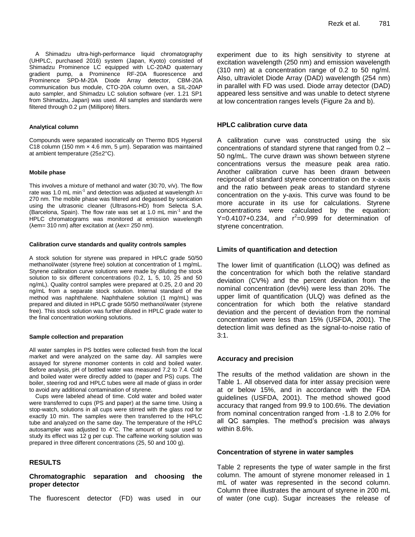A Shimadzu ultra-high-performance liquid chromatography (UHPLC, purchased 2016) system (Japan, Kyoto) consisted of Shimadzu Prominence LC equipped with LC-20AD quaternary gradient pump, a Prominence RF-20A fluorescence and Prominence SPD-M-20A Diode Array detector, CBM-20A communication bus module, CTO-20A column oven, a SIL-20AP auto sampler, and Shimadzu LC solution software (ver. 1.21 SP1 from Shimadzu, Japan) was used. All samples and standards were filtered through 0.2 µm (Millipore) filters.

### **Analytical column**

Compounds were separated isocratically on Thermo BDS Hypersil C18 column (150 mm  $\times$  4.6 mm, 5 µm). Separation was maintained at ambient temperature (25±2°C).

### **Mobile phase**

This involves a mixture of methanol and water (30:70, v/v). The flow rate was 1.0 mL min<sup>-1</sup> and detection was adjusted at wavelength  $\lambda$ = 270 nm. The mobile phase was filtered and degassed by sonication using the ultrasonic cleaner (Ultrasons-HD) from Selecta S.A. (Barcelona, Spain). The flow rate was set at 1.0 mL min<sup>-1</sup> and the HPLC chromatograms was monitored at emission wavelength (λem= 310 nm) after excitation at (λex= 250 nm).

#### **Calibration curve standards and quality controls samples**

A stock solution for styrene was prepared in HPLC grade 50/50 methanol/water (styrene free) solution at concentration of 1 mg/mL. Styrene calibration curve solutions were made by diluting the stock solution to six different concentrations (0.2, 1, 5, 10, 25 and 50 ng/mL). Quality control samples were prepared at 0.25, 2.0 and 20 ng/mL from a separate stock solution. Internal standard of the method was naphthalene. Naphthalene solution (1 mg/mL) was prepared and diluted in HPLC grade 50/50 methanol/water (styrene free). This stock solution was further diluted in HPLC grade water to the final concentration working solutions.

### **Sample collection and preparation**

All water samples in PS bottles were collected fresh from the local market and were analyzed on the same day. All samples were assayed for styrene monomer contents in cold and boiled water. Before analysis, pH of bottled water was measured 7.2 to 7.4. Cold and boiled water were directly added to (paper and PS) cups. The boiler, steering rod and HPLC tubes were all made of glass in order to avoid any additional contamination of styrene.

Cups were labeled ahead of time. Cold water and boiled water were transferred to cups (PS and paper) at the same time. Using a stop-watch, solutions in all cups were stirred with the glass rod for exactly 10 min. The samples were then transferred to the HPLC tube and analyzed on the same day. The temperature of the HPLC autosampler was adjusted to 4°C. The amount of sugar used to study its effect was 12 g per cup. The caffeine working solution was prepared in three different concentrations (25, 50 and 100 g).

# **RESULTS**

**Chromatographic separation and choosing the proper detector**

The fluorescent detector (FD) was used in our

experiment due to its high sensitivity to styrene at excitation wavelength (250 nm) and emission wavelength (310 nm) at a concentration range of 0.2 to 50 ng/ml. Also, ultraviolet Diode Array (DAD) wavelength (254 nm) in parallel with FD was used. Diode array detector (DAD) appeared less sensitive and was unable to detect styrene at low concentration ranges levels (Figure 2a and b).

## **HPLC calibration curve data**

A calibration curve was constructed using the six concentrations of standard styrene that ranged from 0.2 – 50 ng/mL. The curve drawn was shown between styrene concentrations versus the measure peak area ratio. Another calibration curve has been drawn between reciprocal of standard styrene concentration on the x-axis and the ratio between peak areas to standard styrene concentration on the y-axis. This curve was found to be more accurate in its use for calculations. Styrene concentrations were calculated by the equation:  $Y=0.4107+0.234$ , and  $r^2=0.999$  for determination of styrene concentration.

## **Limits of quantification and detection**

The lower limit of quantification (LLOQ) was defined as the concentration for which both the relative standard deviation (CV%) and the percent deviation from the nominal concentration (dev%) were less than 20%. The upper limit of quantification (ULQ) was defined as the concentration for which both the relative standard deviation and the percent of deviation from the nominal concentration were less than 15% (USFDA, 2001). The detection limit was defined as the signal-to-noise ratio of 3:1.

## **Accuracy and precision**

The results of the method validation are shown in the Table 1. All observed data for inter assay precision were at or below 15%, and in accordance with the FDA guidelines (USFDA, 2001). The method showed good accuracy that ranged from 99.9 to 100.6%. The deviation from nominal concentration ranged from -1.8 to 2.0% for all QC samples. The method's precision was always within 8.6%.

### **Concentration of styrene in water samples**

Table 2 represents the type of water sample in the first column. The amount of styrene monomer released in 1 mL of water was represented in the second column. Column three illustrates the amount of styrene in 200 mL of water (one cup). Sugar increases the release of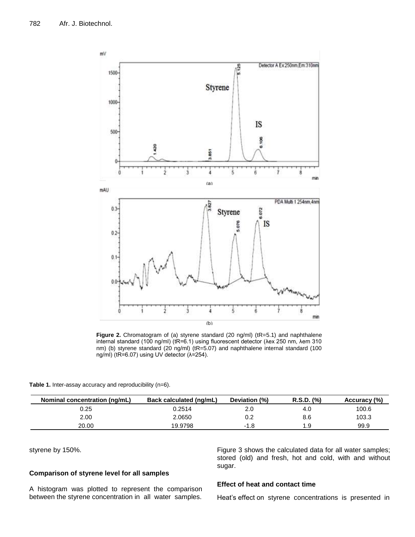

**Figure 2.** Chromatogram of (a) styrene standard (20 ng/ml) (tR=5.1) and naphthalene internal standard (100 ng/ml) (tR=6.1) using fluorescent detector (λex 250 nm, λem 310 nm) (b) styrene standard (20 ng/ml) (tR=5.07) and naphthalene internal standard (100 ng/ml) (tR=6.07) using UV detector (λ=254).

| Table 1. Inter-assay accuracy and reproducibility (n=6). |  |
|----------------------------------------------------------|--|
|----------------------------------------------------------|--|

| Nominal concentration (ng/mL) | Back calculated (ng/mL) | Deviation (%) | $R.S.D.$ $(\%)$ | Accuracy (%) |
|-------------------------------|-------------------------|---------------|-----------------|--------------|
| 0.25                          | 0.2514                  | 2.0           | 4.0             | 100.6        |
| 2.00                          | 2.0650                  | 0.2           | 8.6             | 103.3        |
| 20.00                         | 19.9798                 | -1.8          | 1.9             | 99.9         |

styrene by 150%.

# **Comparison of styrene level for all samples**

A histogram was plotted to represent the comparison between the styrene concentration in all water samples.

## Figure 3 shows the calculated data for all water samples; stored (old) and fresh, hot and cold, with and without sugar.

# **Effect of heat and contact time**

Heat's effect on styrene concentrations is presented in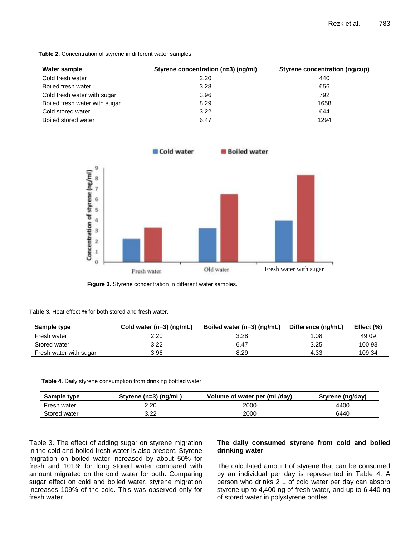**Table 2.** Concentration of styrene in different water samples.

| Water sample                  | Styrene concentration (n=3) (ng/ml) | Styrene concentration (ng/cup) |
|-------------------------------|-------------------------------------|--------------------------------|
| Cold fresh water              | 2.20                                | 440                            |
| Boiled fresh water            | 3.28                                | 656                            |
| Cold fresh water with sugar   | 3.96                                | 792                            |
| Boiled fresh water with sugar | 8.29                                | 1658                           |
| Cold stored water             | 3.22                                | 644                            |
| Boiled stored water           | 6.47                                | 1294                           |



**Figure 3.** Styrene concentration in different water samples.

**Table 3.** Heat effect % for both stored and fresh water.

| Sample type            | Cold water $(n=3)$ (ng/mL) | Boiled water (n=3) (ng/mL) | Difference (ng/mL) | Effect $(\% )$ |
|------------------------|----------------------------|----------------------------|--------------------|----------------|
| Fresh water            | 2.20                       | 3.28                       | 08. ا              | 49.09          |
| Stored water           | 3.22                       | 6.47                       | 3.25               | 100.93         |
| Fresh water with sugar | 3.96                       | 8.29                       | 4.33               | 109.34         |

**Table 4.** Daily styrene consumption from drinking bottled water.

| Sample type  | Styrene $(n=3)$ (ng/mL) | Volume of water per (mL/day) | Styrene (ng/day) |
|--------------|-------------------------|------------------------------|------------------|
| Fresh water  | 2.20                    | 2000                         | 4400             |
| Stored water | 3.22                    | 2000                         | 6440             |

Table 3. The effect of adding sugar on styrene migration in the cold and boiled fresh water is also present. Styrene migration on boiled water increased by about 50% for fresh and 101% for long stored water compared with amount migrated on the cold water for both. Comparing sugar effect on cold and boiled water, styrene migration increases 109% of the cold. This was observed only for fresh water.

# **The daily consumed styrene from cold and boiled drinking water**

The calculated amount of styrene that can be consumed by an individual per day is represented in Table 4. A person who drinks 2 L of cold water per day can absorb styrene up to 4,400 ng of fresh water, and up to 6,440 ng of stored water in polystyrene bottles.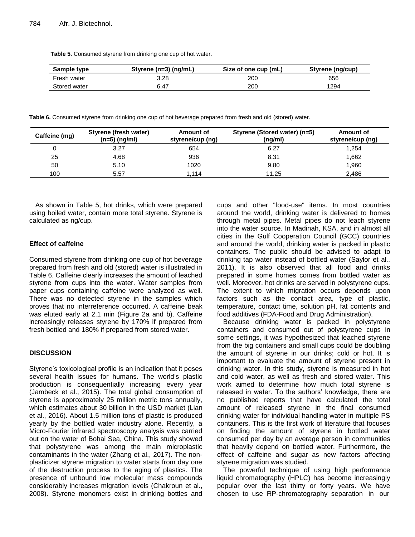**Table 5.** Consumed styrene from drinking one cup of hot water.

| Sample type  | Styrene ( $n=3$ ) ( $nq/mL$ ) | Size of one cup (mL) | Styrene (ng/cup) |
|--------------|-------------------------------|----------------------|------------------|
| Fresh water  | 3.28                          | 200                  | 656              |
| Stored water | 6.47                          | 200                  | 1294             |

**Table 6.** Consumed styrene from drinking one cup of hot beverage prepared from fresh and old (stored) water.

| Caffeine (mg) | Styrene (fresh water)<br>$(n=5)$ (ng/ml) | Amount of<br>styrene/cup (ng) | Styrene (Stored water) (n=5)<br>(ng/ml) | Amount of<br>styrene/cup (ng) |
|---------------|------------------------------------------|-------------------------------|-----------------------------------------|-------------------------------|
|               | 3.27                                     | 654                           | 6.27                                    | 1,254                         |
| 25            | 4.68                                     | 936                           | 8.31                                    | 1,662                         |
| 50            | 5.10                                     | 1020                          | 9.80                                    | 1,960                         |
| 100           | 5.57                                     | 1.114                         | 11.25                                   | 2,486                         |

As shown in Table 5, hot drinks, which were prepared using boiled water, contain more total styrene. Styrene is calculated as ng/cup.

# **Effect of caffeine**

Consumed styrene from drinking one cup of hot beverage prepared from fresh and old (stored) water is illustrated in Table 6. Caffeine clearly increases the amount of leached styrene from cups into the water. Water samples from paper cups containing caffeine were analyzed as well. There was no detected styrene in the samples which proves that no interreference occurred. A caffeine beak was eluted early at 2.1 min (Figure 2a and b). Caffeine increasingly releases styrene by 170% if prepared from fresh bottled and 180% if prepared from stored water.

# **DISCUSSION**

Styrene's toxicological profile is an indication that it poses several health issues for humans. The world's plastic production is consequentially increasing every year (Jambeck et al., 2015). The total global consumption of styrene is approximately 25 million metric tons annually, which estimates about 30 billion in the USD market (Lian et al., 2016). About 1.5 million tons of plastic is produced yearly by the bottled water industry alone. Recently, a Micro-Fourier infrared spectroscopy analysis was carried out on the water of Bohai Sea, China. This study showed that polystyrene was among the main microplastic contaminants in the water (Zhang et al., 2017). The nonplasticizer styrene migration to water starts from day one of the destruction process to the aging of plastics. The presence of unbound low molecular mass compounds considerably increases migration levels (Chakroun et al., 2008). Styrene monomers exist in drinking bottles and

cups and other "food-use" items. In most countries around the world, drinking water is delivered to homes through metal pipes. Metal pipes do not leach styrene into the water source. In Madinah, KSA, and in almost all cities in the Gulf Cooperation Council (GCC) countries and around the world, drinking water is packed in plastic containers. The public should be advised to adapt to drinking tap water instead of bottled water (Saylor et al., 2011). It is also observed that all food and drinks prepared in some homes comes from bottled water as well. Moreover, hot drinks are served in polystyrene cups. The extent to which migration occurs depends upon factors such as the contact area, type of plastic, temperature, contact time, solution pH, fat contents and food additives (FDA-Food and Drug Administration).

Because drinking water is packed in polystyrene containers and consumed out of polystyrene cups in some settings, it was hypothesized that leached styrene from the big containers and small cups could be doubling the amount of styrene in our drinks; cold or hot. It is important to evaluate the amount of styrene present in drinking water. In this study, styrene is measured in hot and cold water, as well as fresh and stored water. This work aimed to determine how much total styrene is released in water. To the authors' knowledge, there are no published reports that have calculated the total amount of released styrene in the final consumed drinking water for individual handling water in multiple PS containers. This is the first work of literature that focuses on finding the amount of styrene in bottled water consumed per day by an average person in communities that heavily depend on bottled water. Furthermore, the effect of caffeine and sugar as new factors affecting styrene migration was studied.

The powerful technique of using high performance liquid chromatography (HPLC) has become increasingly popular over the last thirty or forty years. We have chosen to use RP-chromatography separation in our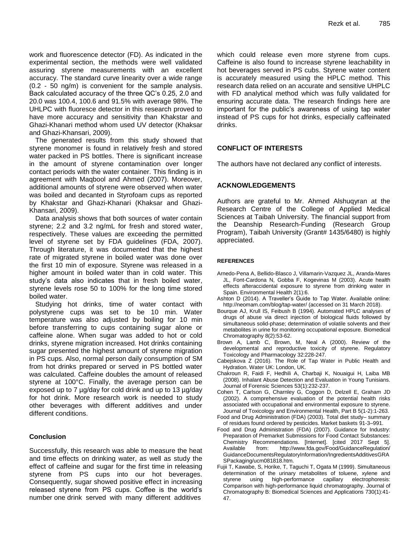work and fluorescence detector (FD). As indicated in the experimental section, the methods were well validated assuring styrene measurements with an excellent accuracy. The standard curve linearity over a wide range (0.2 - 50 ng/m) is convenient for the sample analysis. Back calculated accuracy of the three QC's 0.25, 2.0 and 20.0 was 100.4, 100.6 and 91.5% with average 98%. The UHLPC with fluoresce detector in this research proved to have more accuracy and sensitivity than Khakstar and Ghazi-Khanari method whom used UV detector (Khaksar and Ghazi-Khansari, 2009).

The generated results from this study showed that styrene monomer is found in relatively fresh and stored water packed in PS bottles. There is significant increase in the amount of styrene contamination over longer contact periods with the water container. This finding is in agreement with Maqbool and Ahmed (2007). Moreover, additional amounts of styrene were observed when water was boiled and decanted in Styrofoam cups as reported by Khakstar and Ghazi-Khanari (Khaksar and Ghazi-Khansari, 2009).

Data analysis shows that both sources of water contain styrene; 2.2 and 3.2 ng/mL for fresh and stored water, respectively. These values are exceeding the permitted level of styrene set by FDA guidelines (FDA, 2007). Through literature, it was documented that the highest rate of migrated styrene in boiled water was done over the first 10 min of exposure. Styrene was released in a higher amount in boiled water than in cold water. This study's data also indicates that in fresh boiled water, styrene levels rose 50 to 100% for the long time stored boiled water.

Studying hot drinks, time of water contact with polystyrene cups was set to be 10 min. Water temperature was also adjusted by boiling for 10 min before transferring to cups containing sugar alone or caffeine alone. When sugar was added to hot or cold drinks, styrene migration increased. Hot drinks containing sugar presented the highest amount of styrene migration in PS cups. Also, normal person daily consumption of SM from hot drinks prepared or served in PS bottled water was calculated. Caffeine doubles the amount of released styrene at 100°C. Finally, the average person can be exposed up to 7 µg/day for cold drink and up to 13 µg/day for hot drink. More research work is needed to study other beverages with different additives and under different conditions.

# **Conclusion**

Successfully, this research was able to measure the heat and time effects on drinking water, as well as study the effect of caffeine and sugar for the first time in releasing styrene from PS cups into our hot beverages. Consequently, sugar showed positive effect in increasing released styrene from PS cups. Coffee is the world's number one drink served with many different additives

which could release even more styrene from cups. Caffeine is also found to increase styrene leachability in hot beverages served in PS cubs. Styrene water content is accurately measured using the HPLC method. This research data relied on an accurate and sensitive UHPLC with FD analytical method which was fully validated for ensuring accurate data. The research findings here are important for the public's awareness of using tap water instead of PS cups for hot drinks, especially caffeinated drinks.

# **CONFLICT OF INTERESTS**

The authors have not declared any conflict of interests.

# **ACKNOWLEDGEMENTS**

Authors are grateful to Mr. Ahmed Alshuqyran at the Research Centre of the College of Applied Medical Sciences at Taibah University. The financial support from the Deanship Research-Funding (Research Group Program), Taibah University (Grant# 1435/6480) is highly appreciated.

## **REFERENCES**

- Arnedo-Pena A, Bellido-Blasco J, Villamarin-Vazquez JL, Aranda-Mares JL, Font-Cardona N, Gobba F, Kogevinas M (2003). Acute health effects afteraccidental exposure to styrene from drinking water in Spain. Environmental Health 2(1):6.
- Ashton D (2014). A Traveller's Guide to Tap Water. Available online: http://neomam.com/blog/tap-water/ (accessed on 31 March 2018).
- Bourque AJ, Krull IS, Feibush B (1994). Automated HPLC analyses of drugs of abuse via direct injection of biological fluids followed by simultaneous solid-phase; determination of volatile solvents and their metabolites in urine for monitoring occupational exposure. Biomedical Chromatography 8(2):53-62.
- Brown A, Lamb C, Brown, M, Neal A (2000). Review of the developmental and reproductive toxicity of styrene. Regulatory Toxicology and Pharmacology 32:228-247.
- Cabejskova Z (2016). The Role of Tap Water in Public Health and Hydration. Water UK: London, UK.
- Chakroun R, Faidi F, Hedhili A, Charbaji K, Nouaigui H, Laiba MB (2008). Inhalant Abuse Detection and Evaluation in Young Tunisians. Journal of Forensic Sciences 53(1):232-237.
- Cohen T, Carlson G, Charnley G, Coggon D, Delzell E, Graham JD (2002). A comprehensive evaluation of the potential health risks associated with occupational and environmental exposure to styrene. Journal of Toxicology and Environmental Health, Part B 5(1-2):1-263.
- Food and Drug Administration (FDA) (2003). Total diet study– summary of residues found ordered by pesticides. Market baskets 91-3–991.
- Food and Drug Administration (FDA) (2007). Guidance for Industry: Preparation of Premarket Submissions for Food Contact Substances: Chemistry Recommendations. [Internet]. [cited 2017 Sept 5]. Available from: <http://www.fda.gov/Food/GuidanceRegulation/> GuidanceDocumentsRegulatoryInformation/IngredientsAdditivesGRA SPackaging/ucm081818.htm.
- Fujii T, Kawabe, S, Horike, T, Taguchi T, Ogata M (1999). Simultaneous determination of the urinary metabolites of toluene, xylene and styrene using high-performance capillary electrophoresis: Comparison with high-performance liquid chromatography. Journal of Chromatography B: Biomedical Sciences and Applications 730(1):41- 47.